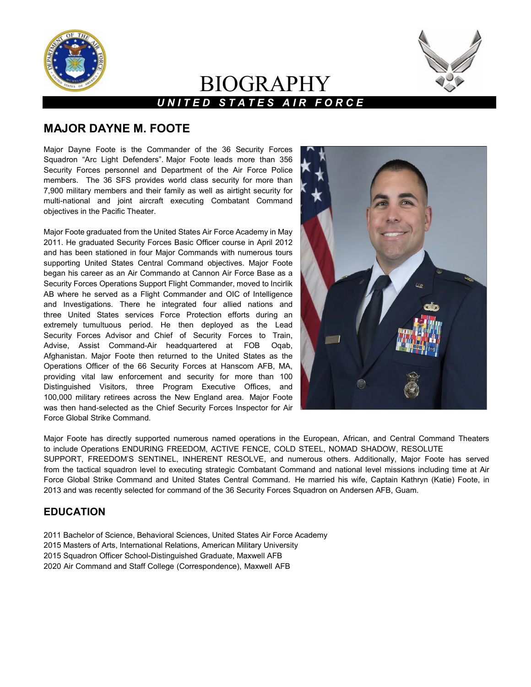

# BIOGRAPHY *U N I T E D S T A T E S A I R F O R C E*



## **MAJOR DAYNE M. FOOTE**

Major Dayne Foote is the Commander of the 36 Security Forces Squadron "Arc Light Defenders". Major Foote leads more than 356 Security Forces personnel and Department of the Air Force Police members. The 36 SFS provides world class security for more than 7,900 military members and their family as well as airtight security for multi-national and joint aircraft executing Combatant Command objectives in the Pacific Theater.

Major Foote graduated from the United States Air Force Academy in May 2011. He graduated Security Forces Basic Officer course in April 2012 and has been stationed in four Major Commands with numerous tours supporting United States Central Command objectives. Major Foote began his career as an Air Commando at Cannon Air Force Base as a Security Forces Operations Support Flight Commander, moved to Incirlik AB where he served as a Flight Commander and OIC of Intelligence and Investigations. There he integrated four allied nations and three United States services Force Protection efforts during an extremely tumultuous period. He then deployed as the Lead Security Forces Advisor and Chief of Security Forces to Train, Advise, Assist Command-Air headquartered at FOB Oqab, Afghanistan. Major Foote then returned to the United States as the Operations Officer of the 66 Security Forces at Hanscom AFB, MA, providing vital law enforcement and security for more than 100 Distinguished Visitors, three Program Executive Offices, and 100,000 military retirees across the New England area. Major Foote was then hand-selected as the Chief Security Forces Inspector for Air Force Global Strike Command.



Major Foote has directly supported numerous named operations in the European, African, and Central Command Theaters to include Operations ENDURING FREEDOM, ACTIVE FENCE, COLD STEEL, NOMAD SHADOW, RESOLUTE SUPPORT, FREEDOM'S SENTINEL, INHERENT RESOLVE, and numerous others. Additionally, Major Foote has served from the tactical squadron level to executing strategic Combatant Command and national level missions including time at Air Force Global Strike Command and United States Central Command. He married his wife, Captain Kathryn (Katie) Foote, in 2013 and was recently selected for command of the 36 Security Forces Squadron on Andersen AFB, Guam.

## **EDUCATION**

- 2011 Bachelor of Science, Behavioral Sciences, United States Air Force Academy
- 2015 Masters of Arts, International Relations, American Military University
- 2015 Squadron Officer School-Distinguished Graduate, Maxwell AFB
- 2020 Air Command and Staff College (Correspondence), Maxwell AFB